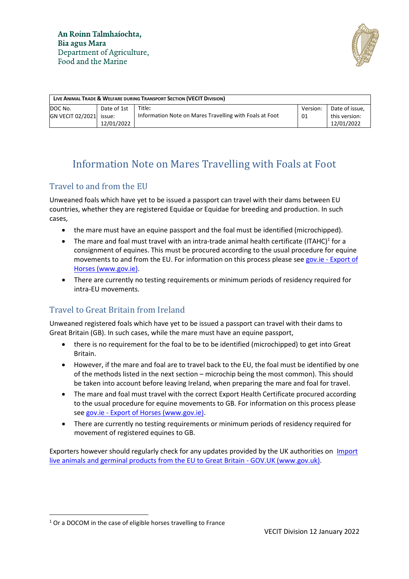

| LIVE ANIMAL TRADE & WELFARE DURING TRANSPORT SECTION (VECIT DIVISION) |                           |                                                                   |                |                                               |
|-----------------------------------------------------------------------|---------------------------|-------------------------------------------------------------------|----------------|-----------------------------------------------|
| DOC No.<br>GN VECIT 02/2021 issue:                                    | Date of 1st<br>12/01/2022 | Title:<br>Information Note on Mares Travelling with Foals at Foot | Version:<br>01 | Date of issue.<br>this version:<br>12/01/2022 |

# Information Note on Mares Travelling with Foals at Foot

#### Travel to and from the EU

Unweaned foals which have yet to be issued a passport can travel with their dams between EU countries, whether they are registered Equidae or Equidae for breeding and production. In such cases,

- the mare must have an equine passport and the foal must be identified (microchipped).
- The mare and foal must travel with an intra-trade animal health certificate (ITAHC)<sup>1</sup> for a consignment of equines. This must be procured according to the usual procedure for equine movements to and from the EU. For information on this process please see gov.ie - [Export of](https://www.gov.ie/en/service/bd740-export-of-horses/#movement-of-horses-to-other-eu-countries)  [Horses \(www.gov.ie\).](https://www.gov.ie/en/service/bd740-export-of-horses/#movement-of-horses-to-other-eu-countries)
- There are currently no testing requirements or minimum periods of residency required for intra-EU movements.

## Travel to Great Britain from Ireland

Unweaned registered foals which have yet to be issued a passport can travel with their dams to Great Britain (GB). In such cases, while the mare must have an equine passport,

- there is no requirement for the foal to be to be identified (microchipped) to get into Great Britain.
- However, if the mare and foal are to travel back to the EU, the foal must be identified by one of the methods listed in the next section – microchip being the most common). This should be taken into account before leaving Ireland, when preparing the mare and foal for travel.
- The mare and foal must travel with the correct Export Health Certificate procured according to the usual procedure for equine movements to GB. For information on this process please see gov.ie - [Export of Horses \(www.gov.ie\).](https://www.gov.ie/en/service/bd740-export-of-horses/#brexit-horses-to-the-uk)
- There are currently no testing requirements or minimum periods of residency required for movement of registered equines to GB.

Exporters however should regularly check for any updates provided by the UK authorities on [Import](https://www.gov.uk/guidance/import-live-animals-and-germinal-products-from-the-eu-to-great-britain)  [live animals and germinal products from the EU to Great Britain -](https://www.gov.uk/guidance/import-live-animals-and-germinal-products-from-the-eu-to-great-britain) GOV.UK (www.gov.uk).

 $1$  Or a DOCOM in the case of eligible horses travelling to France